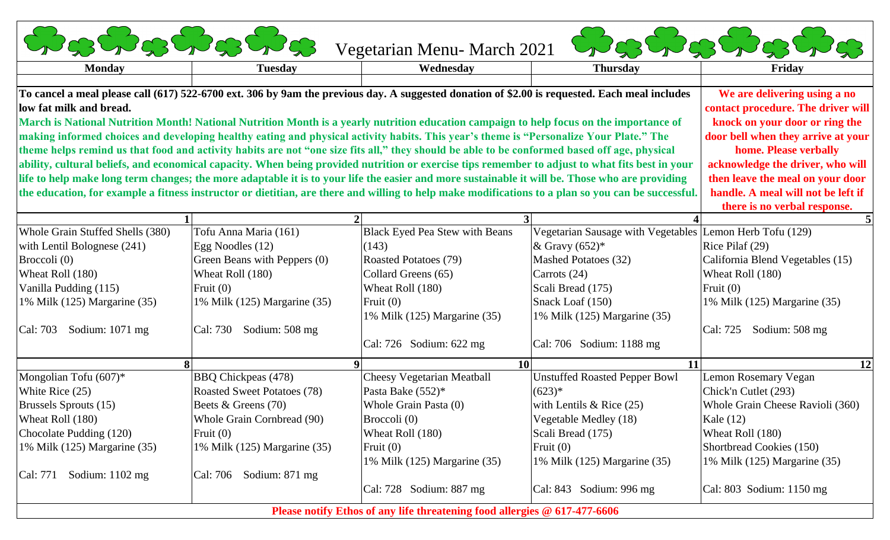| <b>Costos Costos</b>                                                                                                                               |                                    | Vegetarian Menu- March 2021           |                                                          | Softwater that                   |
|----------------------------------------------------------------------------------------------------------------------------------------------------|------------------------------------|---------------------------------------|----------------------------------------------------------|----------------------------------|
| <b>Monday</b>                                                                                                                                      | <b>Tuesday</b>                     | Wednesday                             | <b>Thursday</b>                                          | Friday                           |
| To cancel a meal please call (617) 522-6700 ext. 306 by 9am the previous day. A suggested donation of \$2.00 is requested. Each meal includes      | We are delivering using a no       |                                       |                                                          |                                  |
| low fat milk and bread.                                                                                                                            | contact procedure. The driver will |                                       |                                                          |                                  |
| March is National Nutrition Month! National Nutrition Month is a yearly nutrition education campaign to help focus on the importance of            | knock on your door or ring the     |                                       |                                                          |                                  |
| making informed choices and developing healthy eating and physical activity habits. This year's theme is "Personalize Your Plate." The             | door bell when they arrive at your |                                       |                                                          |                                  |
| theme helps remind us that food and activity habits are not "one size fits all," they should be able to be conformed based off age, physical       | home. Please verbally              |                                       |                                                          |                                  |
| ability, cultural beliefs, and economical capacity. When being provided nutrition or exercise tips remember to adjust to what fits best in your    | acknowledge the driver, who will   |                                       |                                                          |                                  |
| life to help make long term changes; the more adaptable it is to your life the easier and more sustainable it will be. Those who are providing     | then leave the meal on your door   |                                       |                                                          |                                  |
| the education, for example a fitness instructor or dietitian, are there and willing to help make modifications to a plan so you can be successful. | handle. A meal will not be left if |                                       |                                                          |                                  |
|                                                                                                                                                    |                                    |                                       |                                                          | there is no verbal response.     |
|                                                                                                                                                    |                                    |                                       |                                                          |                                  |
| Whole Grain Stuffed Shells (380)                                                                                                                   | Tofu Anna Maria (161)              | <b>Black Eyed Pea Stew with Beans</b> | Vegetarian Sausage with Vegetables Lemon Herb Tofu (129) |                                  |
| with Lentil Bolognese (241)                                                                                                                        | Egg Noodles (12)                   | (143)                                 | & Gravy $(652)^*$                                        | Rice Pilaf (29)                  |
| Broccoli (0)                                                                                                                                       | Green Beans with Peppers (0)       | Roasted Potatoes (79)                 | Mashed Potatoes (32)                                     | California Blend Vegetables (15) |
| Wheat Roll (180)                                                                                                                                   | Wheat Roll (180)                   | Collard Greens (65)                   | Carrots $(24)$                                           | Wheat Roll (180)                 |
| Vanilla Pudding (115)                                                                                                                              | Fruit $(0)$                        | Wheat Roll (180)                      | Scali Bread (175)                                        | Fruit $(0)$                      |
| 1% Milk $(125)$ Margarine $(35)$                                                                                                                   | 1% Milk (125) Margarine (35)       | Fruit $(0)$                           | Snack Loaf (150)                                         | 1% Milk (125) Margarine (35)     |
|                                                                                                                                                    |                                    | 1% Milk (125) Margarine (35)          | 1% Milk (125) Margarine (35)                             |                                  |
| Sodium: 1071 mg<br>Cal: 703                                                                                                                        | Cal: 730<br>Sodium: 508 mg         |                                       |                                                          | Cal: 725<br>Sodium: 508 mg       |
|                                                                                                                                                    |                                    | Cal: 726 Sodium: 622 mg               | Cal: 706 Sodium: 1188 mg                                 |                                  |
|                                                                                                                                                    |                                    | 9                                     | <b>10</b><br>11                                          | 12                               |
| Mongolian Tofu (607)*                                                                                                                              | <b>BBQ Chickpeas (478)</b>         | <b>Cheesy Vegetarian Meatball</b>     | <b>Unstuffed Roasted Pepper Bowl</b>                     | <b>Lemon Rosemary Vegan</b>      |
| White Rice (25)                                                                                                                                    | <b>Roasted Sweet Potatoes (78)</b> | Pasta Bake (552)*                     | $(623)*$                                                 | Chick'n Cutlet (293)             |
| <b>Brussels Sprouts (15)</b>                                                                                                                       | Beets & Greens (70)                | Whole Grain Pasta (0)                 | with Lentils $& Rice (25)$                               | Whole Grain Cheese Ravioli (360) |
| Wheat Roll (180)                                                                                                                                   | Whole Grain Cornbread (90)         | Broccoli $(0)$                        | Vegetable Medley (18)                                    | Kale $(12)$                      |
| Chocolate Pudding (120)                                                                                                                            | Fruit $(0)$                        | Wheat Roll (180)                      | Scali Bread (175)                                        | Wheat Roll (180)                 |
| 1% Milk $(125)$ Margarine $(35)$                                                                                                                   | 1% Milk (125) Margarine (35)       | Fruit $(0)$                           | Fruit $(0)$                                              | Shortbread Cookies (150)         |
|                                                                                                                                                    |                                    | 1% Milk (125) Margarine (35)          | 1% Milk (125) Margarine (35)                             | 1% Milk (125) Margarine (35)     |
|                                                                                                                                                    |                                    |                                       |                                                          |                                  |
| Sodium: $1102 \text{ mg}$<br>Cal: 771                                                                                                              | Cal: 706<br>Sodium: 871 mg         |                                       |                                                          |                                  |